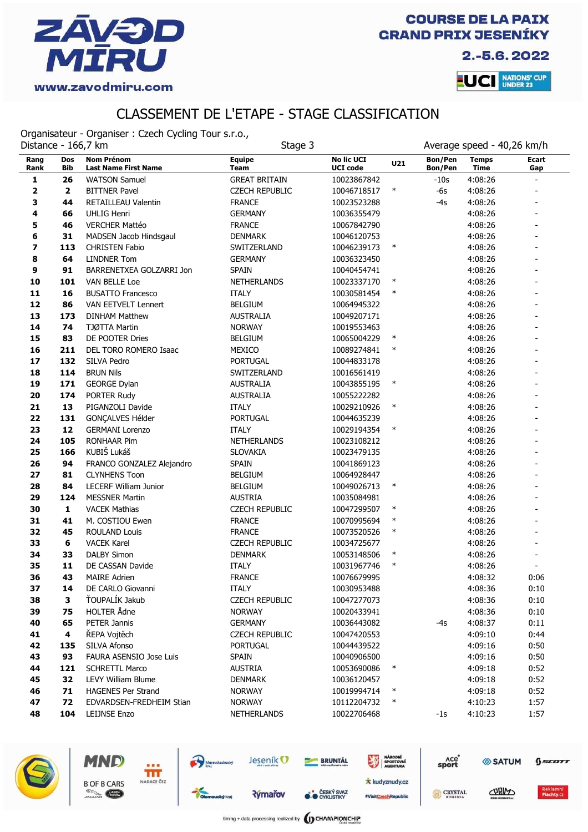

Ace<sup>o</sup><br>sport

CRYSTAL

SATUM

CORIMO

 $6$ scorr

2.-5.6.2022



### CLASSEMENT DE L'ETAPE - STAGE CLASSIFICATION

Organisateur - Organiser : Czech Cycling Tour s.r.o.,

| Distance - 166,7 km |                         |                                                  | Stage 3                      |                                      |        | Average speed - 40,26 km/h |                             |                          |
|---------------------|-------------------------|--------------------------------------------------|------------------------------|--------------------------------------|--------|----------------------------|-----------------------------|--------------------------|
| Rang<br>Rank        | Dos<br>Bib              | <b>Nom Prénom</b><br><b>Last Name First Name</b> | <b>Equipe</b><br><b>Team</b> | <b>No lic UCI</b><br><b>UCI code</b> | U21    | Bon/Pen<br>Bon/Pen         | <b>Temps</b><br><b>Time</b> | <b>Ecart</b><br>Gap      |
| 1                   | 26                      | <b>WATSON Samuel</b>                             | <b>GREAT BRITAIN</b>         | 10023867842                          |        | -10s                       | 4:08:26                     | $\overline{\phantom{a}}$ |
| 2                   | $\mathbf{2}$            | <b>BITTNER Pavel</b>                             | <b>CZECH REPUBLIC</b>        | 10046718517                          | $\ast$ | -6s                        | 4:08:26                     |                          |
| 3                   | 44                      | RETAILLEAU Valentin                              | <b>FRANCE</b>                | 10023523288                          |        | $-4s$                      | 4:08:26                     |                          |
| 4                   | 66                      | <b>UHLIG Henri</b>                               | <b>GERMANY</b>               | 10036355479                          |        |                            | 4:08:26                     |                          |
| 5                   | 46                      | <b>VERCHER Mattéo</b>                            | <b>FRANCE</b>                | 10067842790                          |        |                            | 4:08:26                     |                          |
| 6                   | 31                      | MADSEN Jacob Hindsgaul                           | <b>DENMARK</b>               | 10046120753                          |        |                            | 4:08:26                     |                          |
| 7                   | 113                     | <b>CHRISTEN Fabio</b>                            | SWITZERLAND                  | 10046239173                          | $\ast$ |                            | 4:08:26                     | L,                       |
| 8                   | 64                      | <b>LINDNER Tom</b>                               | <b>GERMANY</b>               | 10036323450                          |        |                            | 4:08:26                     | $\overline{\phantom{0}}$ |
| 9                   | 91                      | BARRENETXEA GOLZARRI Jon                         | <b>SPAIN</b>                 | 10040454741                          |        |                            | 4:08:26                     | $\overline{a}$           |
| 10                  | 101                     | VAN BELLE Loe                                    | <b>NETHERLANDS</b>           | 10023337170                          | $\ast$ |                            | 4:08:26                     | $\overline{a}$           |
| 11                  | 16                      | <b>BUSATTO Francesco</b>                         | <b>ITALY</b>                 | 10030581454                          | $\ast$ |                            | 4:08:26                     | $\overline{a}$           |
| 12                  | 86                      | VAN EETVELT Lennert                              | <b>BELGIUM</b>               | 10064945322                          |        |                            | 4:08:26                     |                          |
| 13                  | 173                     | DINHAM Matthew                                   | <b>AUSTRALIA</b>             | 10049207171                          |        |                            | 4:08:26                     | $\overline{a}$           |
| 14                  | 74                      | TJØTTA Martin                                    | <b>NORWAY</b>                | 10019553463                          |        |                            | 4:08:26                     |                          |
| 15                  | 83                      | DE POOTER Dries                                  | <b>BELGIUM</b>               | 10065004229                          | $\ast$ |                            | 4:08:26                     |                          |
| 16                  | 211                     | DEL TORO ROMERO Isaac                            | MEXICO                       | 10089274841                          | $\ast$ |                            | 4:08:26                     |                          |
| 17                  | 132                     | SILVA Pedro                                      | <b>PORTUGAL</b>              | 10044833178                          |        |                            | 4:08:26                     |                          |
| 18                  | 114                     | <b>BRUN Nils</b>                                 | SWITZERLAND                  | 10016561419                          |        |                            | 4:08:26                     |                          |
| 19                  | 171                     | <b>GEORGE Dylan</b>                              | <b>AUSTRALIA</b>             | 10043855195                          | $\ast$ |                            | 4:08:26                     |                          |
| 20                  | 174                     | PORTER Rudy                                      | <b>AUSTRALIA</b>             | 10055222282                          |        |                            | 4:08:26                     |                          |
| 21                  | 13                      | PIGANZOLI Davide                                 | <b>ITALY</b>                 | 10029210926                          | $\ast$ |                            | 4:08:26                     |                          |
| 22                  | 131                     | GONÇALVES Hélder                                 | <b>PORTUGAL</b>              | 10044635239                          |        |                            | 4:08:26                     |                          |
| 23                  | 12                      | <b>GERMANI Lorenzo</b>                           | <b>ITALY</b>                 | 10029194354                          | $\ast$ |                            | 4:08:26                     |                          |
| 24                  | 105                     | <b>RONHAAR Pim</b>                               | <b>NETHERLANDS</b>           | 10023108212                          |        |                            | 4:08:26                     |                          |
| 25                  | 166                     | KUBIŠ Lukáš                                      | <b>SLOVAKIA</b>              | 10023479135                          |        |                            | 4:08:26                     |                          |
| 26                  | 94                      | FRANCO GONZALEZ Alejandro                        | <b>SPAIN</b>                 | 10041869123                          |        |                            | 4:08:26                     |                          |
| 27                  | 81                      | <b>CLYNHENS Toon</b>                             | <b>BELGIUM</b>               | 10064928447                          |        |                            | 4:08:26                     |                          |
| 28                  | 84                      | <b>LECERF William Junior</b>                     | <b>BELGIUM</b>               | 10049026713                          | $\ast$ |                            | 4:08:26                     |                          |
| 29                  | 124                     | <b>MESSNER Martin</b>                            | <b>AUSTRIA</b>               | 10035084981                          |        |                            | 4:08:26                     |                          |
| 30                  | $\mathbf{1}$            | <b>VACEK Mathias</b>                             | <b>CZECH REPUBLIC</b>        | 10047299507                          | $\ast$ |                            | 4:08:26                     |                          |
| 31                  | 41                      | M. COSTIOU Ewen                                  | <b>FRANCE</b>                | 10070995694                          | $\ast$ |                            | 4:08:26                     |                          |
| 32                  | 45                      | <b>ROULAND Louis</b>                             | <b>FRANCE</b>                | 10073520526                          | $\ast$ |                            | 4:08:26                     | $\overline{a}$           |
| 33                  | 6                       | <b>VACEK Karel</b>                               | <b>CZECH REPUBLIC</b>        | 10034725677                          |        |                            | 4:08:26                     | $\overline{\phantom{0}}$ |
| 34                  | 33                      | <b>DALBY Simon</b>                               | <b>DENMARK</b>               | 10053148506                          | $\ast$ |                            | 4:08:26                     |                          |
| 35                  | 11                      | DE CASSAN Davide                                 | <b>ITALY</b>                 | 10031967746                          | $\ast$ |                            | 4:08:26                     |                          |
| 36                  | 43                      | <b>MAIRE Adrien</b>                              | <b>FRANCE</b>                | 10076679995                          |        |                            | 4:08:32                     | 0:06                     |
| 37                  | 14                      | DE CARLO Giovanni                                | <b>ITALY</b>                 | 10030953488                          |        |                            | 4:08:36                     | 0:10                     |
| 38                  | з                       | ŤOUPALÍK Jakub                                   | <b>CZECH REPUBLIC</b>        | 10047277073                          |        |                            | 4:08:36                     | 0:10                     |
| 39                  | 75                      | <b>HOLTER Ådne</b>                               | <b>NORWAY</b>                | 10020433941                          |        |                            | 4:08:36                     | 0:10                     |
| 40                  | 65                      | PETER Jannis                                     | <b>GERMANY</b>               | 10036443082                          |        | -4s                        | 4:08:37                     | 0:11                     |
| 41                  | $\overline{\mathbf{4}}$ | ŘEPA Vojtěch                                     | <b>CZECH REPUBLIC</b>        | 10047420553                          |        |                            | 4:09:10                     | 0:44                     |
| 42                  | 135                     | SILVA Afonso                                     | <b>PORTUGAL</b>              | 10044439522                          |        |                            | 4:09:16                     | 0:50                     |
| 43                  | 93                      | FAURA ASENSIO Jose Luis                          | <b>SPAIN</b>                 | 10040906500                          |        |                            | 4:09:16                     | 0:50                     |
| 44                  | 121                     | <b>SCHRETTL Marco</b>                            | <b>AUSTRIA</b>               | 10053690086                          | $\ast$ |                            | 4:09:18                     | 0:52                     |
| 45                  | 32                      | LEVY William Blume                               | <b>DENMARK</b>               | 10036120457                          |        |                            | 4:09:18                     | 0:52                     |
| 46                  | 71                      | <b>HAGENES Per Strand</b>                        | <b>NORWAY</b>                | 10019994714                          | $\ast$ |                            | 4:09:18                     | 0:52                     |
| 47                  | 72                      | EDVARDSEN-FREDHEIM Stian                         | <b>NORWAY</b>                | 10112204732                          | $\ast$ |                            | 4:10:23                     | 1:57                     |
| 48                  | 104                     | LEIJNSE Enzo                                     | NETHERLANDS                  | 10022706468                          |        | $-1s$                      | 4:10:23                     | 1:57                     |



MND

**B OF B CARS** 

**County** 

fff NADACE ČEZ

timing + data processing realized by **(I) CHAMPIONCHIP** 

**BRUNTÁL** 

**O ČESKÝ SVAZ** 

NÁRODNÍ<br>SPORTOVNÍ

**\*** kudyznudy.cz

#VisitCzechRepublic

Jeseník<sup>O</sup>

**Rýmařov** 

Moravskoslezský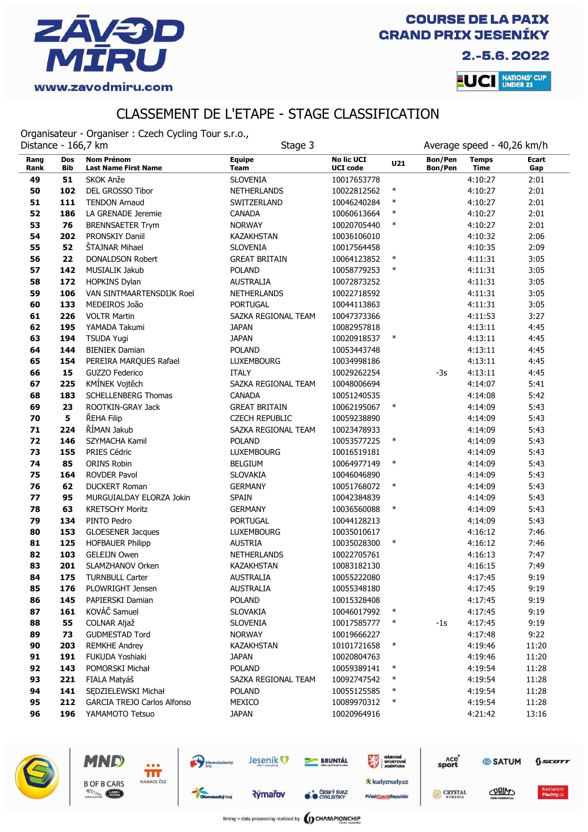

2.-5.6.2022

**LUCI** NATIONS' CUP

### CLASSEMENT DE L'ETAPE - STAGE CLASSIFICATION

Organisateur - Organiser : Czech Cycling Tour s.r.o.,

| Distance - 166,7 km |                   |                                                  | Stage 3                           |                                      |        |                    | Average speed - 40,26 km/h |                     |
|---------------------|-------------------|--------------------------------------------------|-----------------------------------|--------------------------------------|--------|--------------------|----------------------------|---------------------|
| Rang<br>Rank        | Dos<br><b>Bib</b> | <b>Nom Prénom</b><br><b>Last Name First Name</b> | <b>Equipe</b><br>Team             | <b>No lic UCI</b><br><b>UCI code</b> | U21    | Bon/Pen<br>Bon/Pen | <b>Temps</b><br>Time       | <b>Ecart</b><br>Gap |
| 49                  | 51                | SKOK Anže                                        | <b>SLOVENIA</b>                   | 10017653778                          |        |                    | 4:10:27                    | 2:01                |
| 50                  | 102               | DEL GROSSO Tibor                                 | <b>NETHERLANDS</b>                | 10022812562                          | $\ast$ |                    | 4:10:27                    | 2:01                |
| 51                  | 111               | <b>TENDON Arnaud</b>                             | SWITZERLAND                       | 10046240284                          | $\ast$ |                    | 4:10:27                    | 2:01                |
| 52                  | 186               | LA GRENADE Jeremie                               | CANADA                            | 10060613664                          | $\ast$ |                    | 4:10:27                    | 2:01                |
| 53                  | 76                | <b>BRENNSAETER Trym</b>                          | <b>NORWAY</b>                     | 10020705440                          | $\ast$ |                    | 4:10:27                    | 2:01                |
| 54                  | 202               | PRONSKIY Daniil                                  | <b>KAZAKHSTAN</b>                 | 10036106010                          |        |                    | 4:10:32                    | 2:06                |
| 55                  | 52                | ŠTAJNAR Mihael                                   | <b>SLOVENIA</b>                   | 10017564458                          |        |                    | 4:10:35                    | 2:09                |
| 56                  | 22                | <b>DONALDSON Robert</b>                          | <b>GREAT BRITAIN</b>              | 10064123852                          | $\ast$ |                    | 4:11:31                    | 3:05                |
| 57                  | 142               | MUSIALIK Jakub                                   | <b>POLAND</b>                     | 10058779253                          | $\ast$ |                    | 4:11:31                    | 3:05                |
| 58                  | 172               | <b>HOPKINS Dylan</b>                             | <b>AUSTRALIA</b>                  | 10072873252                          |        |                    | 4:11:31                    | 3:05                |
| 59                  | 106               | VAN SINTMAARTENSDIJK Roel                        | <b>NETHERLANDS</b>                | 10022718592                          |        |                    | 4:11:31                    | 3:05                |
| 60                  | 133               | MEDEIROS João                                    | <b>PORTUGAL</b>                   | 10044113863                          |        |                    | 4:11:31                    | 3:05                |
| 61                  | 226               | <b>VOLTR Martin</b>                              | SAZKA REGIONAL TEAM               | 10047373366                          |        |                    | 4:11:53                    | 3:27                |
| 62                  | 195               | YAMADA Takumi                                    | <b>JAPAN</b>                      | 10082957818                          |        |                    | 4:13:11                    | 4:45                |
| 63                  | 194               | <b>TSUDA Yugi</b>                                | <b>JAPAN</b>                      | 10020918537                          | $\ast$ |                    | 4:13:11                    | 4:45                |
| 64                  | 144               | <b>BIENIEK Damian</b>                            | <b>POLAND</b>                     | 10053443748                          |        |                    | 4:13:11                    | 4:45                |
| 65                  | 154               | PEREIRA MARQUES Rafael                           | <b>LUXEMBOURG</b>                 | 10034998186                          |        |                    | 4:13:11                    | 4:45                |
| 66                  | 15                | GUZZO Federico                                   | <b>ITALY</b>                      | 10029262254                          |        | -3s                | 4:13:11                    | 4:45                |
| 67                  | 225               | KMÍNEK Vojtěch                                   | SAZKA REGIONAL TEAM               | 10048006694                          |        |                    | 4:14:07                    | 5:41                |
| 68                  | 183               | <b>SCHELLENBERG Thomas</b>                       | <b>CANADA</b>                     | 10051240535                          |        |                    | 4:14:08                    | 5:42                |
| 69                  | 23                | ROOTKIN-GRAY Jack                                | <b>GREAT BRITAIN</b>              | 10062195067                          | $\ast$ |                    | 4:14:09                    | 5:43                |
| 70                  | 5                 | ŘEHA Filip                                       | <b>CZECH REPUBLIC</b>             | 10059238890                          |        |                    | 4:14:09                    | 5:43                |
| 71                  | 224               | ŘÍMAN Jakub                                      | SAZKA REGIONAL TEAM               | 10023478933                          |        |                    | 4:14:09                    | 5:43                |
| 72                  | 146               | SZYMACHA Kamil                                   | <b>POLAND</b>                     | 10053577225                          | $\ast$ |                    | 4:14:09                    | 5:43                |
| 73                  | 155               | PRIES Cédric                                     | <b>LUXEMBOURG</b>                 | 10016519181                          |        |                    | 4:14:09                    | 5:43                |
| 74                  | 85                | <b>ORINS Robin</b>                               | <b>BELGIUM</b>                    | 10064977149                          | $\ast$ |                    | 4:14:09                    | 5:43                |
| 75                  | 164               | <b>ROVDER Pavol</b>                              | SLOVAKIA                          | 10046046890                          |        |                    | 4:14:09                    | 5:43                |
| 76                  | 62                | <b>DUCKERT Roman</b>                             | <b>GERMANY</b>                    | 10051768072                          | $\ast$ |                    | 4:14:09                    | 5:43                |
| 77                  | 95                | MURGUIALDAY ELORZA Jokin                         | <b>SPAIN</b>                      | 10042384839                          |        |                    | 4:14:09                    | 5:43                |
| 78                  | 63                | <b>KRETSCHY Moritz</b>                           | <b>GERMANY</b>                    | 10036560088                          | $\ast$ |                    | 4:14:09                    | 5:43                |
| 79                  | 134               | PINTO Pedro                                      | PORTUGAL                          | 10044128213                          |        |                    | 4:14:09                    | 5:43                |
| 80                  | 153               | <b>GLOESENER Jacques</b>                         | <b>LUXEMBOURG</b>                 | 10035010617                          |        |                    | 4:16:12                    | 7:46                |
| 81                  | 125               | <b>HOFBAUER Philipp</b>                          | <b>AUSTRIA</b>                    | 10035028300                          | $\ast$ |                    | 4:16:12                    | 7:46                |
| 82                  | 103               | <b>GELEIJN Owen</b>                              | <b>NETHERLANDS</b>                | 10022705761                          |        |                    | 4:16:13                    | 7:47                |
| 83<br>84            | 201               | SLAMZHANOV Orken                                 | <b>KAZAKHSTAN</b>                 | 10083182130                          |        |                    | 4:16:15                    | 7:49                |
|                     | 175               | <b>TURNBULL Carter</b>                           | <b>AUSTRALIA</b>                  | 10055222080                          |        |                    | 4:17:45                    | 9:19                |
| 85<br>86            | 176<br>145        | PLOWRIGHT Jensen<br>PAPIERSKI Damian             | <b>AUSTRALIA</b><br><b>POLAND</b> | 10055348180                          |        |                    | 4:17:45<br>4:17:45         | 9:19<br>9:19        |
|                     | 161               | KOVÁČ Samuel                                     | SLOVAKIA                          | 10015328408                          | $\ast$ |                    |                            |                     |
| 87                  | 55                | COLNAR Aljaž                                     |                                   | 10046017992                          | $\ast$ |                    | 4:17:45                    | 9:19                |
| 88                  |                   |                                                  | SLOVENIA                          | 10017585777                          |        | $-1s$              | 4:17:45                    | 9:19                |
| 89                  | 73                | <b>GUDMESTAD Tord</b>                            | <b>NORWAY</b>                     | 10019666227                          | $\ast$ |                    | 4:17:48                    | 9:22                |
| 90                  | 203               | <b>REMKHE Andrey</b>                             | <b>KAZAKHSTAN</b>                 | 10101721658                          |        |                    | 4:19:46                    | 11:20               |
| 91<br>92            | 191<br>143        | FUKUDA Yoshiaki<br>POMORSKI Michał               | <b>JAPAN</b><br><b>POLAND</b>     | 10020804763<br>10059389141           | $\ast$ |                    | 4:19:46<br>4:19:54         | 11:20<br>11:28      |
|                     |                   | FIALA Matyáš                                     |                                   |                                      | $\ast$ |                    |                            |                     |
| 93                  | 221               | SEDZIELEWSKI Michał                              | SAZKA REGIONAL TEAM               | 10092747542                          | $\ast$ |                    | 4:19:54                    | 11:28               |
| 94                  | 141               |                                                  | <b>POLAND</b>                     | 10055125585                          | $\ast$ |                    | 4:19:54                    | 11:28               |
| 95                  | 212               | <b>GARCIA TREJO Carlos Alfonso</b>               | MEXICO                            | 10089970312                          |        |                    | 4:19:54                    | 11:28               |
| 96                  | 196               | YAMAMOTO Tetsuo                                  | <b>JAPAN</b>                      | 10020964916                          |        |                    | 4:21:42                    | 13:16               |



MND

**B OF B CARS** 

**County** 

fff NADACE ČEZ



Jeseník<sup>O</sup>

Moravskoslezský

**BRUNTÁL** 

**CESKÝ SVAZ** 

Ace<sup>\*</sup><br>sport

CRYSTAL

SATUM

CORIMO

 $6$ scorr

NÁRODNÍ<br>SPORTOVNÍ

**\*** kudyznudy.cz

#VisitCzechRepublic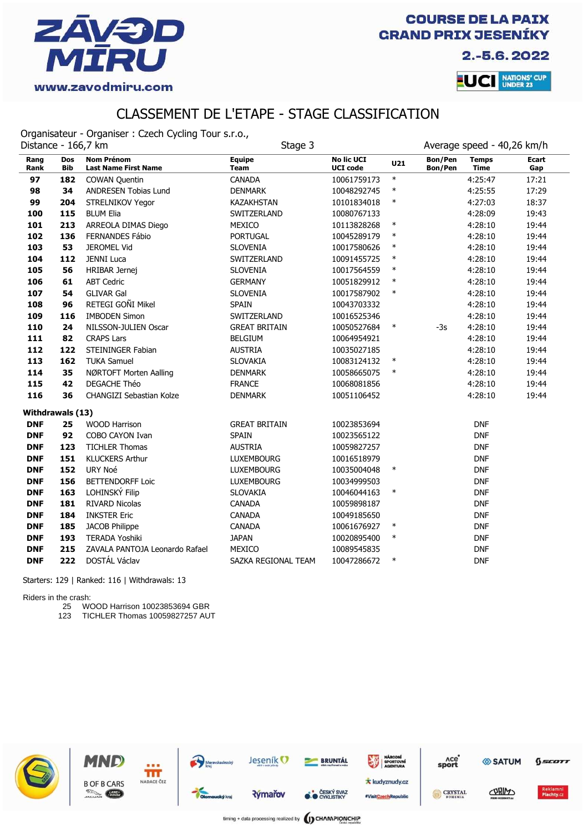

2.-5.6.2022



### CLASSEMENT DE L'ETAPE - STAGE CLASSIFICATION

Organisateur - Organiser : Czech Cycling Tour s.r.o.,

| Distance - 166,7 km |                   |                                                  | Stage 3                      |                                      |        |                    | Average speed - 40,26 km/h  |                     |
|---------------------|-------------------|--------------------------------------------------|------------------------------|--------------------------------------|--------|--------------------|-----------------------------|---------------------|
| Rang<br>Rank        | <b>Dos</b><br>Bib | <b>Nom Prénom</b><br><b>Last Name First Name</b> | <b>Equipe</b><br><b>Team</b> | <b>No lic UCI</b><br><b>UCI code</b> | U21    | Bon/Pen<br>Bon/Pen | <b>Temps</b><br><b>Time</b> | <b>Ecart</b><br>Gap |
| 97                  | 182               | <b>COWAN Quentin</b>                             | <b>CANADA</b>                | 10061759173                          | $\ast$ |                    | 4:25:47                     | 17:21               |
| 98                  | 34                | ANDRESEN Tobias Lund                             | <b>DENMARK</b>               | 10048292745                          | $\ast$ |                    | 4:25:55                     | 17:29               |
| 99                  | 204               | STRELNIKOV Yegor                                 | <b>KAZAKHSTAN</b>            | 10101834018                          | $\ast$ |                    | 4:27:03                     | 18:37               |
| 100                 | 115               | <b>BLUM Elia</b>                                 | SWITZERLAND                  | 10080767133                          |        |                    | 4:28:09                     | 19:43               |
| 101                 | 213               | ARREOLA DIMAS Diego                              | MEXICO                       | 10113828268                          | $\ast$ |                    | 4:28:10                     | 19:44               |
| 102                 | 136               | FERNANDES Fábio                                  | <b>PORTUGAL</b>              | 10045289179                          | $\ast$ |                    | 4:28:10                     | 19:44               |
| 103                 | 53                | <b>JEROMEL Vid</b>                               | <b>SLOVENIA</b>              | 10017580626                          | $\ast$ |                    | 4:28:10                     | 19:44               |
| 104                 | 112               | <b>JENNI Luca</b>                                | SWITZERLAND                  | 10091455725                          | $\ast$ |                    | 4:28:10                     | 19:44               |
| 105                 | 56                | <b>HRIBAR Jernej</b>                             | <b>SLOVENIA</b>              | 10017564559                          | $\ast$ |                    | 4:28:10                     | 19:44               |
| 106                 | 61                | <b>ABT Cedric</b>                                | <b>GERMANY</b>               | 10051829912                          | $\ast$ |                    | 4:28:10                     | 19:44               |
| 107                 | 54                | <b>GLIVAR Gal</b>                                | <b>SLOVENIA</b>              | 10017587902                          | $\ast$ |                    | 4:28:10                     | 19:44               |
| 108                 | 96                | RETEGI GOÑI Mikel                                | SPAIN                        | 10043703332                          |        |                    | 4:28:10                     | 19:44               |
| 109                 | 116               | <b>IMBODEN Simon</b>                             | SWITZERLAND                  | 10016525346                          |        |                    | 4:28:10                     | 19:44               |
| 110                 | 24                | NILSSON-JULIEN Oscar                             | <b>GREAT BRITAIN</b>         | 10050527684                          | $\ast$ | $-3s$              | 4:28:10                     | 19:44               |
| 111                 | 82                | <b>CRAPS Lars</b>                                | <b>BELGIUM</b>               | 10064954921                          |        |                    | 4:28:10                     | 19:44               |
| 112                 | 122               | STEININGER Fabian                                | <b>AUSTRIA</b>               | 10035027185                          |        |                    | 4:28:10                     | 19:44               |
| 113                 | 162               | <b>TUKA Samuel</b>                               | <b>SLOVAKIA</b>              | 10083124132                          | $\ast$ |                    | 4:28:10                     | 19:44               |
| 114                 | 35                | NØRTOFT Morten Aalling                           | <b>DENMARK</b>               | 10058665075                          | $\ast$ |                    | 4:28:10                     | 19:44               |
| 115                 | 42                | <b>DEGACHE Théo</b>                              | <b>FRANCE</b>                | 10068081856                          |        |                    | 4:28:10                     | 19:44               |
| 116                 | 36                | <b>CHANGIZI Sebastian Kolze</b>                  | <b>DENMARK</b>               | 10051106452                          |        |                    | 4:28:10                     | 19:44               |
| Withdrawals (13)    |                   |                                                  |                              |                                      |        |                    |                             |                     |
| <b>DNF</b>          | 25                | <b>WOOD Harrison</b>                             | <b>GREAT BRITAIN</b>         | 10023853694                          |        |                    | <b>DNF</b>                  |                     |
| <b>DNF</b>          | 92                | COBO CAYON Ivan                                  | <b>SPAIN</b>                 | 10023565122                          |        |                    | <b>DNF</b>                  |                     |
| <b>DNF</b>          | 123               | <b>TICHLER Thomas</b>                            | <b>AUSTRIA</b>               | 10059827257                          |        |                    | <b>DNF</b>                  |                     |
| <b>DNF</b>          | 151               | <b>KLUCKERS Arthur</b>                           | <b>LUXEMBOURG</b>            | 10016518979                          |        |                    | <b>DNF</b>                  |                     |
| <b>DNF</b>          | 152               | URY Noé                                          | <b>LUXEMBOURG</b>            | 10035004048                          | $\ast$ |                    | <b>DNF</b>                  |                     |
| <b>DNF</b>          | 156               | <b>BETTENDORFF Loic</b>                          | <b>LUXEMBOURG</b>            | 10034999503                          |        |                    | <b>DNF</b>                  |                     |
| <b>DNF</b>          | 163               | LOHINSKÝ Filip                                   | <b>SLOVAKIA</b>              | 10046044163                          | $\ast$ |                    | <b>DNF</b>                  |                     |
| <b>DNF</b>          | 181               | <b>RIVARD Nicolas</b>                            | <b>CANADA</b>                | 10059898187                          |        |                    | <b>DNF</b>                  |                     |
| <b>DNF</b>          | 184               | <b>INKSTER Eric</b>                              | <b>CANADA</b>                | 10049185650                          |        |                    | <b>DNF</b>                  |                     |
| <b>DNF</b>          | 185               | <b>JACOB Philippe</b>                            | CANADA                       | 10061676927                          | $\ast$ |                    | <b>DNF</b>                  |                     |
| <b>DNF</b>          | 193               | <b>TERADA Yoshiki</b>                            | <b>JAPAN</b>                 | 10020895400                          | $\ast$ |                    | <b>DNF</b>                  |                     |
| <b>DNF</b>          | 215               | ZAVALA PANTOJA Leonardo Rafael                   | MEXICO                       | 10089545835                          |        |                    | <b>DNF</b>                  |                     |
| <b>DNF</b>          | 222               | DOSTÁL Václav                                    | SAZKA REGIONAL TEAM          | 10047286672                          | $\ast$ |                    | <b>DNF</b>                  |                     |

Starters: 129 | Ranked: 116 | Withdrawals: 13

#### Riders in the crash:

25 WOOD Harrison 10023853694 GBR

TICHLER Thomas 10059827257 AUT

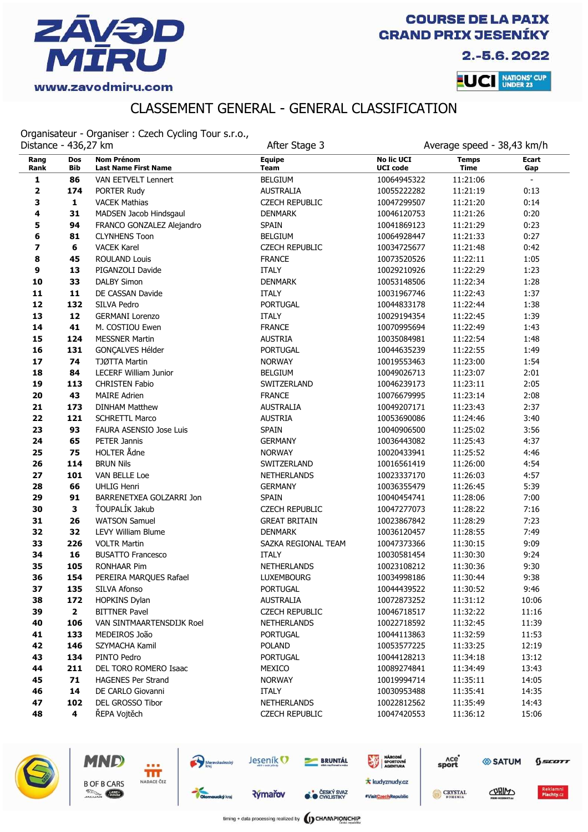

2.-5.6.2022

**LUCI** NATIONS' CUP

# CLASSEMENT GENERAL - GENERAL CLASSIFICATION

Organisateur - Organiser : Czech Cycling Tour s.r.o.,

| Distance - 436,27 km |                         |                                                  | After Stage 3                |                                      | Average speed - 38,43 km/h  |                     |
|----------------------|-------------------------|--------------------------------------------------|------------------------------|--------------------------------------|-----------------------------|---------------------|
| Rang<br>Rank         | Dos<br>Bib              | <b>Nom Prénom</b><br><b>Last Name First Name</b> | <b>Equipe</b><br><b>Team</b> | <b>No lic UCI</b><br><b>UCI code</b> | <b>Temps</b><br><b>Time</b> | <b>Ecart</b><br>Gap |
| 1                    | 86                      | <b>VAN EETVELT Lennert</b>                       | <b>BELGIUM</b>               | 10064945322                          | 11:21:06                    | $\blacksquare$      |
| 2                    | 174                     | PORTER Rudy                                      | <b>AUSTRALIA</b>             | 10055222282                          | 11:21:19                    | 0:13                |
| 3                    | $\mathbf{1}$            | <b>VACEK Mathias</b>                             | <b>CZECH REPUBLIC</b>        | 10047299507                          | 11:21:20                    | 0:14                |
| 4                    | 31                      | MADSEN Jacob Hindsgaul                           | <b>DENMARK</b>               | 10046120753                          | 11:21:26                    | 0:20                |
| 5                    | 94                      | FRANCO GONZALEZ Alejandro                        | <b>SPAIN</b>                 | 10041869123                          | 11:21:29                    | 0:23                |
| 6                    | 81                      | <b>CLYNHENS Toon</b>                             | <b>BELGIUM</b>               | 10064928447                          | 11:21:33                    | 0:27                |
| 7                    | 6                       | <b>VACEK Karel</b>                               | <b>CZECH REPUBLIC</b>        | 10034725677                          | 11:21:48                    | 0:42                |
| 8                    | 45                      | <b>ROULAND Louis</b>                             | <b>FRANCE</b>                | 10073520526                          | 11:22:11                    | 1:05                |
| 9                    | 13                      | PIGANZOLI Davide                                 | <b>ITALY</b>                 | 10029210926                          | 11:22:29                    | 1:23                |
| 10                   | 33                      | <b>DALBY Simon</b>                               | <b>DENMARK</b>               | 10053148506                          | 11:22:34                    | 1:28                |
| 11                   | 11                      | DE CASSAN Davide                                 | <b>ITALY</b>                 | 10031967746                          | 11:22:43                    | 1:37                |
| 12                   | 132                     | SILVA Pedro                                      | <b>PORTUGAL</b>              | 10044833178                          | 11:22:44                    | 1:38                |
| 13                   | 12                      | <b>GERMANI Lorenzo</b>                           | <b>ITALY</b>                 | 10029194354                          | 11:22:45                    | 1:39                |
| 14                   | 41                      | M. COSTIOU Ewen                                  | <b>FRANCE</b>                | 10070995694                          | 11:22:49                    | 1:43                |
| 15                   | 124                     | <b>MESSNER Martin</b>                            | <b>AUSTRIA</b>               | 10035084981                          | 11:22:54                    | 1:48                |
| 16                   | 131                     | GONÇALVES Hélder                                 | <b>PORTUGAL</b>              | 10044635239                          | 11:22:55                    | 1:49                |
| 17                   | 74                      | TJØTTA Martin                                    | <b>NORWAY</b>                | 10019553463                          | 11:23:00                    | 1:54                |
| 18                   | 84                      | <b>LECERF William Junior</b>                     | <b>BELGIUM</b>               | 10049026713                          | 11:23:07                    | 2:01                |
| 19                   | 113                     | <b>CHRISTEN Fabio</b>                            | SWITZERLAND                  | 10046239173                          | 11:23:11                    | 2:05                |
| 20                   | 43                      | <b>MAIRE Adrien</b>                              | <b>FRANCE</b>                | 10076679995                          | 11:23:14                    | 2:08                |
| 21                   | 173                     | <b>DINHAM Matthew</b>                            | <b>AUSTRALIA</b>             | 10049207171                          | 11:23:43                    | 2:37                |
| 22                   | 121                     | <b>SCHRETTL Marco</b>                            | <b>AUSTRIA</b>               | 10053690086                          | 11:24:46                    | 3:40                |
| 23                   | 93                      | FAURA ASENSIO Jose Luis                          | <b>SPAIN</b>                 | 10040906500                          | 11:25:02                    | 3:56                |
| 24                   | 65                      | PETER Jannis                                     | <b>GERMANY</b>               | 10036443082                          | 11:25:43                    | 4:37                |
| 25                   | 75                      | <b>HOLTER Ådne</b>                               | <b>NORWAY</b>                | 10020433941                          | 11:25:52                    | 4:46                |
| 26                   | 114                     | <b>BRUN Nils</b>                                 | SWITZERLAND                  | 10016561419                          | 11:26:00                    | 4:54                |
| 27                   | 101                     | VAN BELLE Loe                                    | <b>NETHERLANDS</b>           | 10023337170                          | 11:26:03                    | 4:57                |
| 28                   | 66                      | <b>UHLIG Henri</b>                               | <b>GERMANY</b>               | 10036355479                          | 11:26:45                    | 5:39                |
| 29                   | 91                      | BARRENETXEA GOLZARRI Jon                         | <b>SPAIN</b>                 | 10040454741                          | 11:28:06                    | 7:00                |
| 30                   | 3                       | ŤOUPALÍK Jakub                                   | <b>CZECH REPUBLIC</b>        | 10047277073                          | 11:28:22                    | 7:16                |
| 31                   | 26                      | <b>WATSON Samuel</b>                             | <b>GREAT BRITAIN</b>         | 10023867842                          | 11:28:29                    | 7:23                |
| 32                   | 32                      | <b>LEVY William Blume</b>                        | <b>DENMARK</b>               | 10036120457                          | 11:28:55                    | 7:49                |
| 33                   | 226                     | <b>VOLTR Martin</b>                              | SAZKA REGIONAL TEAM          | 10047373366                          | 11:30:15                    | 9:09                |
| 34                   | 16                      | <b>BUSATTO Francesco</b>                         | <b>ITALY</b>                 | 10030581454                          | 11:30:30                    | 9:24                |
| 35                   | 105                     | <b>RONHAAR Pim</b>                               | NETHERLANDS                  | 10023108212                          | 11:30:36                    | 9:30                |
| 36                   | 154                     | PEREIRA MARQUES Rafael                           | <b>LUXEMBOURG</b>            | 10034998186                          | 11:30:44                    | 9:38                |
| 37                   | 135                     | SILVA Afonso                                     | <b>PORTUGAL</b>              | 10044439522                          | 11:30:52                    | 9:46                |
| 38                   | 172                     | <b>HOPKINS Dylan</b>                             | <b>AUSTRALIA</b>             | 10072873252                          | 11:31:12                    | 10:06               |
| 39                   | $\mathbf{2}$            | <b>BITTNER Pavel</b>                             | <b>CZECH REPUBLIC</b>        | 10046718517                          | 11:32:22                    | 11:16               |
| 40                   | 106                     | VAN SINTMAARTENSDIJK Roel                        | <b>NETHERLANDS</b>           | 10022718592                          | 11:32:45                    | 11:39               |
| 41                   | 133                     | MEDEIROS João                                    | <b>PORTUGAL</b>              | 10044113863                          | 11:32:59                    | 11:53               |
| 42                   | 146                     | SZYMACHA Kamil                                   | <b>POLAND</b>                | 10053577225                          | 11:33:25                    | 12:19               |
| 43                   | 134                     | PINTO Pedro                                      | <b>PORTUGAL</b>              | 10044128213                          | 11:34:18                    | 13:12               |
| 44                   | 211                     | DEL TORO ROMERO Isaac                            | MEXICO                       | 10089274841                          | 11:34:49                    | 13:43               |
| 45                   | 71                      | <b>HAGENES Per Strand</b>                        | <b>NORWAY</b>                | 10019994714                          | 11:35:11                    | 14:05               |
| 46                   | 14                      | DE CARLO Giovanni                                | ITALY                        | 10030953488                          | 11:35:41                    | 14:35               |
| 47                   | 102                     | <b>DEL GROSSO Tibor</b>                          | NETHERLANDS                  | 10022812562                          | 11:35:49                    | 14:43               |
| 48                   | $\overline{\mathbf{4}}$ | ŘEPA Vojtěch                                     | <b>CZECH REPUBLIC</b>        | 10047420553                          | 11:36:12                    | 15:06               |



MND

**B OF B CARS** 

**County** 

Ħř NADACE ČEZ

Jeseník<sup>O</sup>

**Rýmařov** 

Moravskoslezský

**BRUNTÁL** 

**O ČESKÝ SVAZ** 

NÁRODNÍ<br>SPORTOVNÍ

**\*** kudyznudy.cz

#VisitCzechRepublic

Ace<sup>o</sup><br>sport

CRYSTAL

SATUM

CORIMO

 $6$ sco $rr$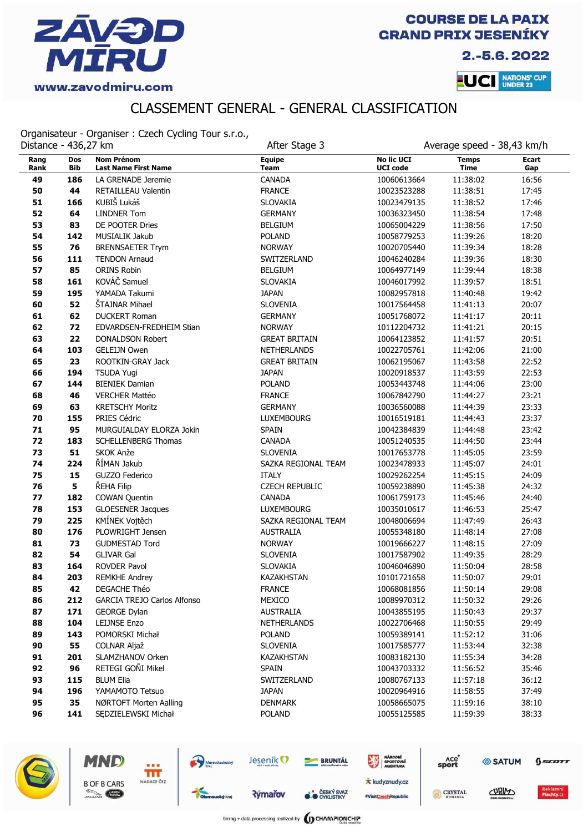

2.-5.6.2022

**LUCI** NATIONS' CUP

# CLASSEMENT GENERAL - GENERAL CLASSIFICATION

Organisateur - Organiser : Czech Cycling Tour s.r.o.,

| Distance - 436,27 km |                          |                                                  | After Stage 3                |                                      | Average speed - 38,43 km/h  |              |
|----------------------|--------------------------|--------------------------------------------------|------------------------------|--------------------------------------|-----------------------------|--------------|
| Rang<br>Rank         | <b>Dos</b><br><b>Bib</b> | <b>Nom Prénom</b><br><b>Last Name First Name</b> | <b>Equipe</b><br><b>Team</b> | <b>No lic UCI</b><br><b>UCI code</b> | <b>Temps</b><br><b>Time</b> | Ecart<br>Gap |
| 49                   | 186                      | LA GRENADE Jeremie                               | <b>CANADA</b>                | 10060613664                          | 11:38:02                    | 16:56        |
| 50                   | 44                       | RETAILLEAU Valentin                              | <b>FRANCE</b>                | 10023523288                          | 11:38:51                    | 17:45        |
| 51                   | 166                      | KUBIŠ Lukáš                                      | <b>SLOVAKIA</b>              | 10023479135                          | 11:38:52                    | 17:46        |
| 52                   | 64                       | <b>LINDNER Tom</b>                               | <b>GERMANY</b>               | 10036323450                          | 11:38:54                    | 17:48        |
| 53                   | 83                       | DE POOTER Dries                                  | <b>BELGIUM</b>               | 10065004229                          | 11:38:56                    | 17:50        |
| 54                   | 142                      | <b>MUSIALIK Jakub</b>                            | <b>POLAND</b>                | 10058779253                          | 11:39:26                    | 18:20        |
| 55                   | 76                       | <b>BRENNSAETER Trym</b>                          | <b>NORWAY</b>                | 10020705440                          | 11:39:34                    | 18:28        |
| 56                   | 111                      | <b>TENDON Arnaud</b>                             | SWITZERLAND                  | 10046240284                          | 11:39:36                    | 18:30        |
| 57                   | 85                       | <b>ORINS Robin</b>                               | <b>BELGIUM</b>               | 10064977149                          | 11:39:44                    | 18:38        |
| 58                   | 161                      | KOVÁČ Samuel                                     | <b>SLOVAKIA</b>              | 10046017992                          | 11:39:57                    | 18:51        |
| 59                   | 195                      | YAMADA Takumi                                    | <b>JAPAN</b>                 | 10082957818                          | 11:40:48                    | 19:42        |
| 60                   | 52                       | <b>ŠTAJNAR Mihael</b>                            | <b>SLOVENIA</b>              | 10017564458                          | 11:41:13                    | 20:07        |
| 61                   | 62                       | <b>DUCKERT Roman</b>                             | <b>GERMANY</b>               | 10051768072                          | 11:41:17                    | 20:11        |
| 62                   | 72                       | EDVARDSEN-FREDHEIM Stian                         | <b>NORWAY</b>                | 10112204732                          | 11:41:21                    | 20:15        |
| 63                   | 22                       | <b>DONALDSON Robert</b>                          | <b>GREAT BRITAIN</b>         | 10064123852                          | 11:41:57                    | 20:51        |
| 64                   | 103                      | <b>GELEIJN Owen</b>                              | <b>NETHERLANDS</b>           | 10022705761                          | 11:42:06                    | 21:00        |
| 65                   | 23                       | ROOTKIN-GRAY Jack                                | <b>GREAT BRITAIN</b>         | 10062195067                          | 11:43:58                    | 22:52        |
| 66                   | 194                      | <b>TSUDA Yugi</b>                                | <b>JAPAN</b>                 | 10020918537                          | 11:43:59                    | 22:53        |
| 67                   | 144                      | <b>BIENIEK Damian</b>                            | <b>POLAND</b>                | 10053443748                          | 11:44:06                    | 23:00        |
| 68                   | 46                       | <b>VERCHER Mattéo</b>                            | <b>FRANCE</b>                | 10067842790                          | 11:44:27                    | 23:21        |
| 69                   | 63                       | <b>KRETSCHY Moritz</b>                           | <b>GERMANY</b>               | 10036560088                          | 11:44:39                    | 23:33        |
| 70                   | 155                      | PRIES Cédric                                     | <b>LUXEMBOURG</b>            | 10016519181                          | 11:44:43                    | 23:37        |
| 71                   | 95                       | MURGUIALDAY ELORZA Jokin                         | <b>SPAIN</b>                 | 10042384839                          | 11:44:48                    | 23:42        |
| 72                   | 183                      | <b>SCHELLENBERG Thomas</b>                       | CANADA                       | 10051240535                          | 11:44:50                    | 23:44        |
| 73                   | 51                       | SKOK Anže                                        | <b>SLOVENIA</b>              | 10017653778                          | 11:45:05                    | 23:59        |
| 74                   | 224                      | ŘÍMAN Jakub                                      | SAZKA REGIONAL TEAM          | 10023478933                          | 11:45:07                    | 24:01        |
| 75                   | 15                       | GUZZO Federico                                   | <b>ITALY</b>                 | 10029262254                          | 11:45:15                    | 24:09        |
| 76                   | 5                        | ŘEHA Filip                                       | <b>CZECH REPUBLIC</b>        | 10059238890                          | 11:45:38                    | 24:32        |
| 77                   | 182                      | <b>COWAN Quentin</b>                             | CANADA                       | 10061759173                          | 11:45:46                    | 24:40        |
| 78                   | 153                      | <b>GLOESENER Jacques</b>                         | <b>LUXEMBOURG</b>            | 10035010617                          | 11:46:53                    | 25:47        |
| 79                   | 225                      | KMÍNEK Vojtěch                                   | SAZKA REGIONAL TEAM          | 10048006694                          | 11:47:49                    | 26:43        |
| 80                   | 176                      | PLOWRIGHT Jensen                                 | <b>AUSTRALIA</b>             | 10055348180                          | 11:48:14                    | 27:08        |
| 81                   | 73                       | <b>GUDMESTAD Tord</b>                            | <b>NORWAY</b>                | 10019666227                          | 11:48:15                    | 27:09        |
| 82                   | 54                       | <b>GLIVAR Gal</b>                                | <b>SLOVENIA</b>              | 10017587902                          | 11:49:35                    | 28:29        |
| 83                   | 164                      | <b>ROVDER Pavol</b>                              | SLOVAKIA                     | 10046046890                          | 11:50:04                    | 28:58        |
| 84                   | 203                      | <b>REMKHE Andrey</b>                             | <b>KAZAKHSTAN</b>            | 10101721658                          | 11:50:07                    | 29:01        |
| 85                   | 42                       | DEGACHE Théo                                     | <b>FRANCE</b>                | 10068081856                          | 11:50:14                    | 29:08        |
| 86                   | 212                      | <b>GARCIA TREJO Carlos Alfonso</b>               | MEXICO                       | 10089970312                          | 11:50:32                    | 29:26        |
| 87                   | 171                      | <b>GEORGE Dylan</b>                              | <b>AUSTRALIA</b>             | 10043855195                          | 11:50:43                    | 29:37        |
| 88                   | 104                      | LEIJNSE Enzo                                     | <b>NETHERLANDS</b>           | 10022706468                          | 11:50:55                    | 29:49        |
| 89                   | 143                      | POMORSKI Michał                                  | <b>POLAND</b>                | 10059389141                          | 11:52:12                    | 31:06        |
| 90                   | 55                       | COLNAR Aljaž                                     | SLOVENIA                     | 10017585777                          | 11:53:44                    | 32:38        |
| 91                   | 201                      | SLAMZHANOV Orken                                 | KAZAKHSTAN                   | 10083182130                          | 11:55:34                    | 34:28        |
| 92                   | 96                       | RETEGI GOÑI Mikel                                | <b>SPAIN</b>                 | 10043703332                          | 11:56:52                    | 35:46        |
| 93                   | 115                      | <b>BLUM Elia</b>                                 | SWITZERLAND                  | 10080767133                          | 11:57:18                    | 36:12        |
| 94                   | 196                      | YAMAMOTO Tetsuo                                  | JAPAN                        | 10020964916                          | 11:58:55                    | 37:49        |
| 95                   | 35                       | NØRTOFT Morten Aalling                           | <b>DENMARK</b>               | 10058665075                          | 11:59:16                    | 38:10        |
| 96                   | 141                      | SEDZIELEWSKI Michał                              | <b>POLAND</b>                | 10055125585                          | 11:59:39                    | 38:33        |



MND

**B OF B CARS** 

**County** 

fff

NADACE ČEZ

**Rýmařov** 

Moravskoslezský

**O ČESKÝ SVAZ** 

**BRUNTÁL** 



| <b>Ace</b><br>sport | <b><i><b>SATUM</b></i></b> | $0$ <i>scort</i>  |
|---------------------|----------------------------|-------------------|
| <b>CRYSTAL</b>      | CABINS                     | <b>Reklamni</b>   |
| <b>BOHEMIA</b>      | <b>BRIM-MODIMEYAY</b>      | <b>Plachty.cz</b> |

timing + data processing realized by **(I) CHAMPIONCHIP** 

Jeseník<sup>O</sup>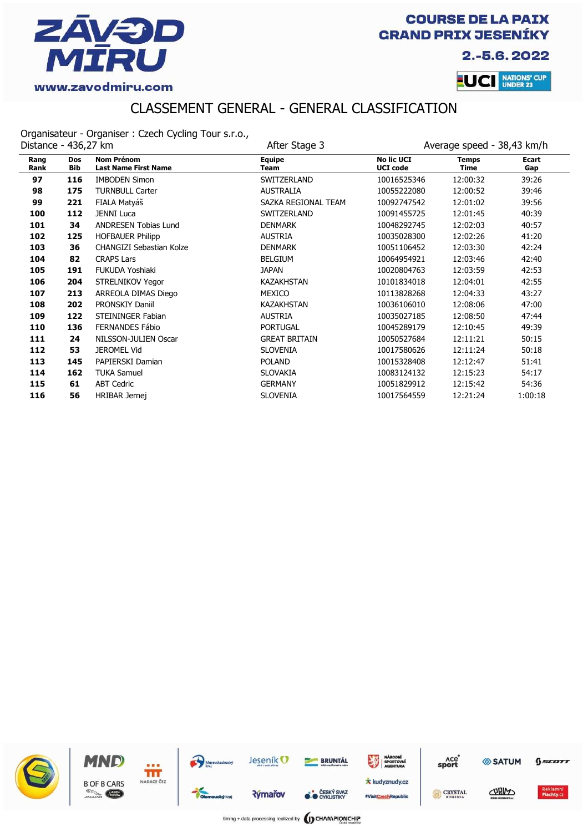

2.-5.6.2022



### CLASSEMENT GENERAL - GENERAL CLASSIFICATION

Organisateur - Organiser : Czech Cycling Tour s.r.o.,

| Distance - 436,27 km |                          |                                                  | After Stage 3                |                                      | Average speed - 38,43 km/h  |                     |
|----------------------|--------------------------|--------------------------------------------------|------------------------------|--------------------------------------|-----------------------------|---------------------|
| Rang<br>Rank         | <b>Dos</b><br><b>Bib</b> | <b>Nom Prénom</b><br><b>Last Name First Name</b> | <b>Equipe</b><br><b>Team</b> | <b>No lic UCI</b><br><b>UCI code</b> | <b>Temps</b><br><b>Time</b> | <b>Ecart</b><br>Gap |
| 97                   | 116                      | <b>IMBODEN Simon</b>                             | SWITZERLAND                  | 10016525346                          | 12:00:32                    | 39:26               |
| 98                   | 175                      | <b>TURNBULL Carter</b>                           | <b>AUSTRALIA</b>             | 10055222080                          | 12:00:52                    | 39:46               |
| 99                   | 221                      | FIALA Matyáš                                     | SAZKA REGIONAL TEAM          | 10092747542                          | 12:01:02                    | 39:56               |
| 100                  | 112                      | <b>JENNI Luca</b>                                | SWITZERLAND                  | 10091455725                          | 12:01:45                    | 40:39               |
| 101                  | 34                       | <b>ANDRESEN Tobias Lund</b>                      | <b>DENMARK</b>               | 10048292745                          | 12:02:03                    | 40:57               |
| 102                  | 125                      | <b>HOFBAUER Philipp</b>                          | <b>AUSTRIA</b>               | 10035028300                          | 12:02:26                    | 41:20               |
| 103                  | 36                       | CHANGIZI Sebastian Kolze                         | <b>DENMARK</b>               | 10051106452                          | 12:03:30                    | 42:24               |
| 104                  | 82                       | <b>CRAPS Lars</b>                                | <b>BELGIUM</b>               | 10064954921                          | 12:03:46                    | 42:40               |
| 105                  | 191                      | FUKUDA Yoshiaki                                  | <b>JAPAN</b>                 | 10020804763                          | 12:03:59                    | 42:53               |
| 106                  | 204                      | STRELNIKOV Yegor                                 | <b>KAZAKHSTAN</b>            | 10101834018                          | 12:04:01                    | 42:55               |
| 107                  | 213                      | ARREOLA DIMAS Diego                              | <b>MEXICO</b>                | 10113828268                          | 12:04:33                    | 43:27               |
| 108                  | 202                      | <b>PRONSKIY Daniil</b>                           | <b>KAZAKHSTAN</b>            | 10036106010                          | 12:08:06                    | 47:00               |
| 109                  | 122                      | STEININGER Fabian                                | <b>AUSTRIA</b>               | 10035027185                          | 12:08:50                    | 47:44               |
| 110                  | 136                      | FERNANDES Fábio                                  | <b>PORTUGAL</b>              | 10045289179                          | 12:10:45                    | 49:39               |
| 111                  | 24                       | NILSSON-JULIEN Oscar                             | <b>GREAT BRITAIN</b>         | 10050527684                          | 12:11:21                    | 50:15               |
| 112                  | 53                       | <b>JEROMEL Vid</b>                               | <b>SLOVENIA</b>              | 10017580626                          | 12:11:24                    | 50:18               |
| 113                  | 145                      | PAPIERSKI Damian                                 | <b>POLAND</b>                | 10015328408                          | 12:12:47                    | 51:41               |
| 114                  | 162                      | <b>TUKA Samuel</b>                               | <b>SLOVAKIA</b>              | 10083124132                          | 12:15:23                    | 54:17               |
| 115                  | 61                       | <b>ABT Cedric</b>                                | <b>GERMANY</b>               | 10051829912                          | 12:15:42                    | 54:36               |
| 116                  | 56                       | <b>HRIBAR Jernej</b>                             | <b>SLOVENIA</b>              | 10017564559                          | 12:21:24                    | 1:00:18             |

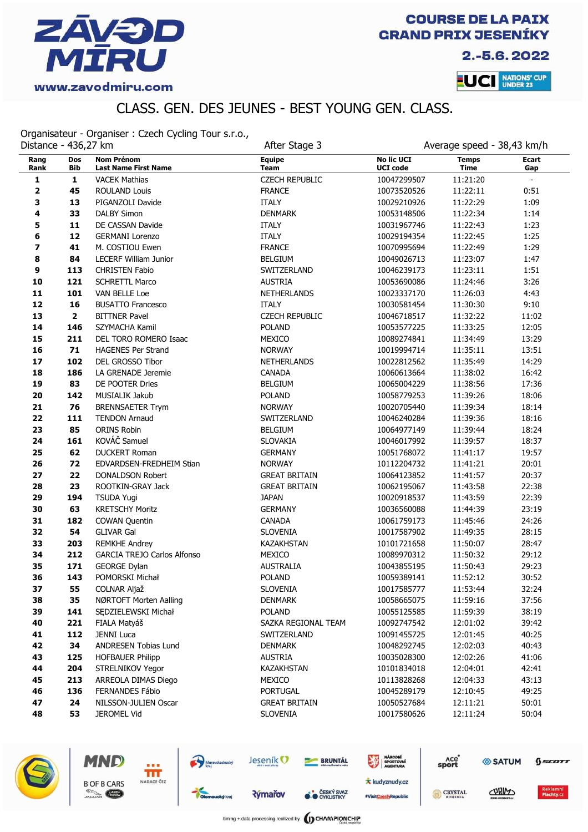

2.-5.6.2022



# CLASS. GEN. DES JEUNES - BEST YOUNG GEN. CLASS.

Organisateur - Organiser : Czech Cycling Tour s.r.o.,

|              | Distance - 436,27 km |                                                  | After Stage 3                | Average speed - 38,43 km/h           |                             |                |
|--------------|----------------------|--------------------------------------------------|------------------------------|--------------------------------------|-----------------------------|----------------|
| Rang<br>Rank | Dos<br><b>Bib</b>    | <b>Nom Prénom</b><br><b>Last Name First Name</b> | <b>Equipe</b><br><b>Team</b> | <b>No lic UCI</b><br><b>UCI code</b> | <b>Temps</b><br><b>Time</b> | Ecart<br>Gap   |
| 1            | $\mathbf{1}$         | <b>VACEK Mathias</b>                             | <b>CZECH REPUBLIC</b>        | 10047299507                          | 11:21:20                    | $\blacksquare$ |
| $\mathbf 2$  | 45                   | <b>ROULAND Louis</b>                             | <b>FRANCE</b>                | 10073520526                          | 11:22:11                    | 0:51           |
| 3            | 13                   | PIGANZOLI Davide                                 | <b>ITALY</b>                 | 10029210926                          | 11:22:29                    | 1:09           |
| 4            | 33                   | <b>DALBY Simon</b>                               | <b>DENMARK</b>               | 10053148506                          | 11:22:34                    | 1:14           |
| 5            | 11                   | DE CASSAN Davide                                 | <b>ITALY</b>                 | 10031967746                          | 11:22:43                    | 1:23           |
| 6            | 12                   | <b>GERMANI Lorenzo</b>                           | <b>ITALY</b>                 | 10029194354                          | 11:22:45                    | 1:25           |
| 7            | 41                   | M. COSTIOU Ewen                                  | <b>FRANCE</b>                | 10070995694                          | 11:22:49                    | 1:29           |
| 8            | 84                   | <b>LECERF William Junior</b>                     | <b>BELGIUM</b>               | 10049026713                          | 11:23:07                    | 1:47           |
| 9            | 113                  | <b>CHRISTEN Fabio</b>                            | SWITZERLAND                  | 10046239173                          | 11:23:11                    | 1:51           |
| 10           | 121                  | <b>SCHRETTL Marco</b>                            | <b>AUSTRIA</b>               | 10053690086                          | 11:24:46                    | 3:26           |
| 11           | 101                  | VAN BELLE Loe                                    | <b>NETHERLANDS</b>           | 10023337170                          | 11:26:03                    | 4:43           |
| 12           | 16                   | <b>BUSATTO Francesco</b>                         | <b>ITALY</b>                 | 10030581454                          | 11:30:30                    | 9:10           |
| 13           | $\overline{2}$       | <b>BITTNER Pavel</b>                             | <b>CZECH REPUBLIC</b>        | 10046718517                          | 11:32:22                    | 11:02          |
| 14           | 146                  | SZYMACHA Kamil                                   | <b>POLAND</b>                | 10053577225                          | 11:33:25                    | 12:05          |
| 15           | 211                  | DEL TORO ROMERO Isaac                            | MEXICO                       | 10089274841                          | 11:34:49                    | 13:29          |
| 16           | 71                   | <b>HAGENES Per Strand</b>                        | <b>NORWAY</b>                | 10019994714                          | 11:35:11                    | 13:51          |
| 17           | 102                  | <b>DEL GROSSO Tibor</b>                          | NETHERLANDS                  | 10022812562                          | 11:35:49                    | 14:29          |
| 18           | 186                  | LA GRENADE Jeremie                               | CANADA                       | 10060613664                          | 11:38:02                    | 16:42          |
| 19           | 83                   | <b>DE POOTER Dries</b>                           | <b>BELGIUM</b>               | 10065004229                          | 11:38:56                    | 17:36          |
| 20           | 142                  | MUSIALIK Jakub                                   | <b>POLAND</b>                | 10058779253                          | 11:39:26                    | 18:06          |
| 21           | 76                   | <b>BRENNSAETER Trym</b>                          | <b>NORWAY</b>                | 10020705440                          | 11:39:34                    | 18:14          |
| 22           | 111                  | <b>TENDON Arnaud</b>                             | SWITZERLAND                  | 10046240284                          | 11:39:36                    | 18:16          |
| 23           | 85                   | <b>ORINS Robin</b>                               | <b>BELGIUM</b>               | 10064977149                          | 11:39:44                    | 18:24          |
| 24           | 161                  | KOVÁČ Samuel                                     | <b>SLOVAKIA</b>              | 10046017992                          | 11:39:57                    | 18:37          |
| 25           | 62                   | <b>DUCKERT Roman</b>                             | <b>GERMANY</b>               | 10051768072                          | 11:41:17                    | 19:57          |
| 26           | 72                   | EDVARDSEN-FREDHEIM Stian                         | <b>NORWAY</b>                | 10112204732                          | 11:41:21                    | 20:01          |
| 27           | 22                   | <b>DONALDSON Robert</b>                          | <b>GREAT BRITAIN</b>         | 10064123852                          | 11:41:57                    | 20:37          |
| 28           | 23                   | ROOTKIN-GRAY Jack                                | <b>GREAT BRITAIN</b>         | 10062195067                          | 11:43:58                    | 22:38          |
| 29           | 194                  | <b>TSUDA Yugi</b>                                | <b>JAPAN</b>                 | 10020918537                          | 11:43:59                    | 22:39          |
| 30           | 63                   | <b>KRETSCHY Moritz</b>                           | <b>GERMANY</b>               | 10036560088                          | 11:44:39                    | 23:19          |
| 31           | 182                  | <b>COWAN Quentin</b>                             | <b>CANADA</b>                | 10061759173                          | 11:45:46                    | 24:26          |
| 32           | 54                   | <b>GLIVAR Gal</b>                                | <b>SLOVENIA</b>              | 10017587902                          | 11:49:35                    | 28:15          |
| 33           | 203                  | <b>REMKHE Andrey</b>                             | <b>KAZAKHSTAN</b>            | 10101721658                          | 11:50:07                    | 28:47          |
| 34           | 212                  | <b>GARCIA TREJO Carlos Alfonso</b>               | MEXICO                       | 10089970312                          | 11:50:32                    | 29:12          |
| 35           | 171                  | <b>GEORGE Dylan</b>                              | <b>AUSTRALIA</b>             | 10043855195                          | 11:50:43                    | 29:23          |
| 36           | 143                  | POMORSKI Michał                                  | <b>POLAND</b>                | 10059389141                          | 11:52:12                    | 30:52          |
| 37           | 55                   | COLNAR Aljaž                                     | <b>SLOVENIA</b>              | 10017585777                          | 11:53:44                    | 32:24          |
| 38           | 35                   | NØRTOFT Morten Aalling                           | <b>DENMARK</b>               | 10058665075                          | 11:59:16                    | 37:56          |
| 39           | 141                  | SEDZIELEWSKI Michał                              | <b>POLAND</b>                | 10055125585                          | 11:59:39                    | 38:19          |
| 40           | 221                  | FIALA Matyáš                                     | SAZKA REGIONAL TEAM          | 10092747542                          | 12:01:02                    | 39:42          |
| 41           | 112                  | JENNI Luca                                       | SWITZERLAND                  | 10091455725                          | 12:01:45                    | 40:25          |
| 42           | 34                   | ANDRESEN Tobias Lund                             | <b>DENMARK</b>               | 10048292745                          | 12:02:03                    | 40:43          |
| 43           | 125                  | <b>HOFBAUER Philipp</b>                          | <b>AUSTRIA</b>               | 10035028300                          | 12:02:26                    | 41:06          |
| 44           | 204                  | STRELNIKOV Yegor                                 | KAZAKHSTAN                   | 10101834018                          | 12:04:01                    | 42:41          |
| 45           | 213                  | ARREOLA DIMAS Diego                              | MEXICO                       | 10113828268                          | 12:04:33                    | 43:13          |
| 46           | 136                  | FERNANDES Fábio                                  | <b>PORTUGAL</b>              | 10045289179                          | 12:10:45                    | 49:25          |
| 47           | 24                   | NILSSON-JULIEN Oscar                             | <b>GREAT BRITAIN</b>         | 10050527684                          | 12:11:21                    | 50:01          |
| 48           | 53                   | JEROMEL Vid                                      | <b>SLOVENIA</b>              | 10017580626                          | 12:11:24                    | 50:04          |



MND fff NADACE ČEZ **B OF B CARS**  $\overline{\mathcal{C}}$ 

Jeseník<sup>O</sup> Moravskoslezský



 $rac{AC}{\text{spor}}$ NÁRODNÍ<br>SPORTOVNÍ **\*** kudyznudy.cz CRY<sub>son</sub>

#VisitCzechRepublic

| e           | <b><i><b>SATUM</b></i></b>   | $6$ <i>scort</i> |
|-------------|------------------------------|------------------|
| <b>STAL</b> | CABINS                       | <b>Reklamni</b>  |
| EMIA        | <b>BUILD AND DESCRIPTION</b> | Plachty.cz       |

**Rýmařov**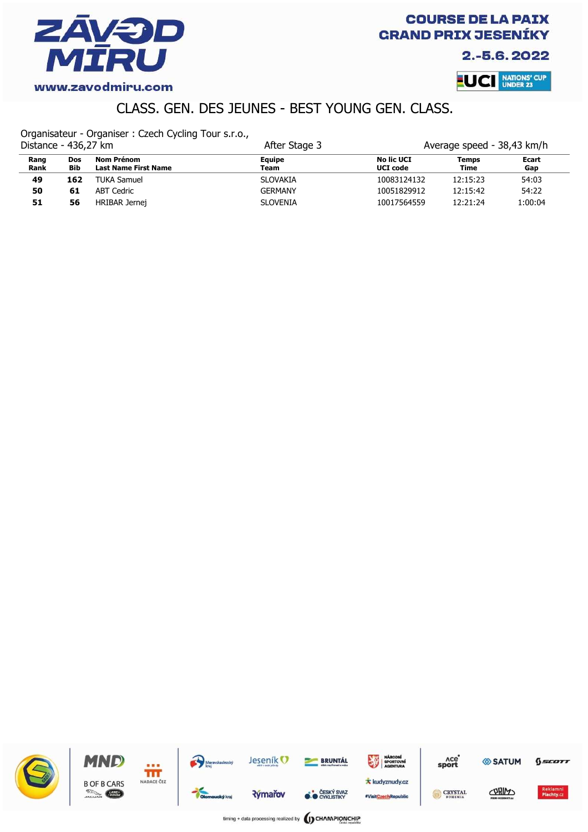

2.-5.6.2022



## CLASS. GEN. DES JEUNES - BEST YOUNG GEN. CLASS.

Organisateur - Organiser : Czech Cycling Tour s.r.o.,

| Distance - 436,27 km |            |                                           | After Stage 3         | Average speed - 38,43 km/h    |               |                     |
|----------------------|------------|-------------------------------------------|-----------------------|-------------------------------|---------------|---------------------|
| Rang<br>Rank         | Dos<br>Bib | Nom Prénom<br><b>Last Name First Name</b> | <b>Equipe</b><br>Team | No lic UCI<br><b>UCI</b> code | Temps<br>Time | <b>Ecart</b><br>Gap |
| 49                   | 162        | TUKA Samuel                               | <b>SLOVAKIA</b>       | 10083124132                   | 12:15:23      | 54:03               |
| 50                   | 61         | ABT Cedric                                | <b>GERMANY</b>        | 10051829912                   | 12:15:42      | 54:22               |
| 51                   | 56         | HRIBAR Jernej                             | <b>SLOVENIA</b>       | 10017564559                   | 12:21:24      | 1:00:04             |

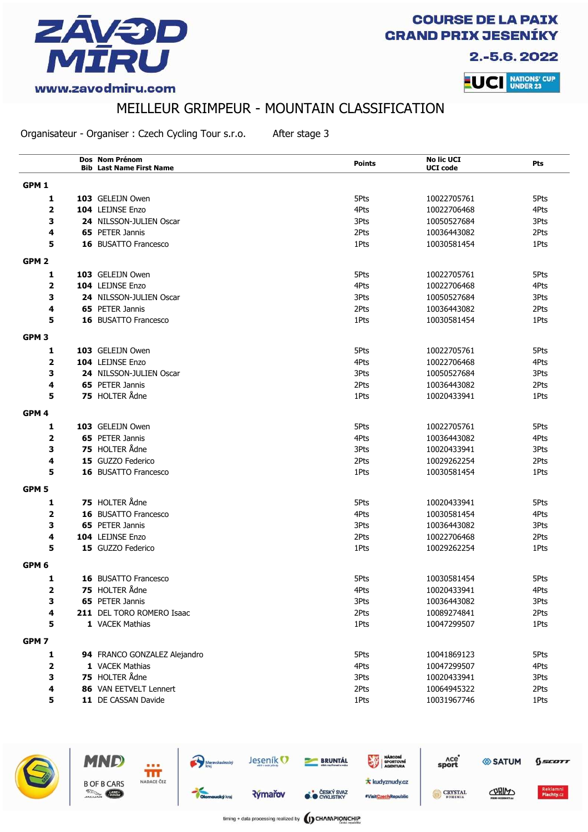

Ace<sup>o</sup><br>sport

CRYSTAL

SATUM

CORIMO

 $6$ scorr

2.-5.6.2022



# www.zavodmiru.com

### MEILLEUR GRIMPEUR - MOUNTAIN CLASSIFICATION

Organisateur - Organiser : Czech Cycling Tour s.r.o. After stage 3

|                         | Dos Nom Prénom<br><b>Bib Last Name First Name</b> | <b>Points</b> | <b>No lic UCI</b><br><b>UCI</b> code | Pts  |
|-------------------------|---------------------------------------------------|---------------|--------------------------------------|------|
| GPM <sub>1</sub>        |                                                   |               |                                      |      |
| 1                       | 103 GELEIJN Owen                                  | 5Pts          | 10022705761                          | 5Pts |
| $\overline{2}$          | 104 LEIJNSE Enzo                                  | 4Pts          | 10022706468                          | 4Pts |
| 3                       | 24 NILSSON-JULIEN Oscar                           | 3Pts          | 10050527684                          | 3Pts |
| 4                       | 65 PETER Jannis                                   | 2Pts          | 10036443082                          | 2Pts |
| 5                       | <b>16 BUSATTO Francesco</b>                       | 1Pts          | 10030581454                          | 1Pts |
| GPM <sub>2</sub>        |                                                   |               |                                      |      |
| 1                       | 103 GELEIJN Owen                                  | 5Pts          | 10022705761                          | 5Pts |
| 2                       | 104 LEIJNSE Enzo                                  | 4Pts          | 10022706468                          | 4Pts |
| з                       | 24 NILSSON-JULIEN Oscar                           | 3Pts          | 10050527684                          | 3Pts |
| 4                       | <b>65</b> PETER Jannis                            | 2Pts          | 10036443082                          | 2Pts |
| 5                       | 16 BUSATTO Francesco                              | 1Pts          | 10030581454                          | 1Pts |
| GPM <sub>3</sub>        |                                                   |               |                                      |      |
| 1                       | 103 GELEIJN Owen                                  | 5Pts          | 10022705761                          | 5Pts |
| $\overline{\mathbf{2}}$ | 104 LEIJNSE Enzo                                  | 4Pts          | 10022706468                          | 4Pts |
| з                       | 24 NILSSON-JULIEN Oscar                           | 3Pts          | 10050527684                          | 3Pts |
| 4                       | 65 PETER Jannis                                   | 2Pts          | 10036443082                          | 2Pts |
| 5                       | 75 HOLTER Ådne                                    | 1Pts          | 10020433941                          | 1Pts |
| GPM 4                   |                                                   |               |                                      |      |
|                         |                                                   |               |                                      |      |
| 1                       | 103 GELEIJN Owen<br>65 PETER Jannis               | 5Pts          | 10022705761                          | 5Pts |
| $\overline{\mathbf{2}}$ | 75 HOLTER Ådne                                    | 4Pts          | 10036443082                          | 4Pts |
| 3                       | 15 GUZZO Federico                                 | 3Pts          | 10020433941                          | 3Pts |
| 4                       |                                                   | 2Pts          | 10029262254                          | 2Pts |
| 5                       | 16 BUSATTO Francesco                              | 1Pts          | 10030581454                          | 1Pts |
| GPM <sub>5</sub>        |                                                   |               |                                      |      |
| 1                       | 75 HOLTER Ådne                                    | 5Pts          | 10020433941                          | 5Pts |
| $\overline{\mathbf{2}}$ | 16 BUSATTO Francesco                              | 4Pts          | 10030581454                          | 4Pts |
| 3                       | 65 PETER Jannis                                   | 3Pts          | 10036443082                          | 3Pts |
| 4                       | 104 LEIJNSE Enzo                                  | 2Pts          | 10022706468                          | 2Pts |
| 5                       | 15 GUZZO Federico                                 | 1Pts          | 10029262254                          | 1Pts |
| GPM <sub>6</sub>        |                                                   |               |                                      |      |
| 1                       | <b>16 BUSATTO Francesco</b>                       | 5Pts          | 10030581454                          | 5Pts |
| 2                       | 75 HOLTER Ådne                                    | 4Pts          | 10020433941                          | 4Pts |
| 3                       | 65 PETER Jannis                                   | 3Pts          | 10036443082                          | 3Pts |
| 4                       | 211 DEL TORO ROMERO Isaac                         | 2Pts          | 10089274841                          | 2Pts |
| 5                       | 1 VACEK Mathias                                   | 1Pts          | 10047299507                          | 1Pts |
| GPM <sub>7</sub>        |                                                   |               |                                      |      |
| $\mathbf{1}$            | 94 FRANCO GONZALEZ Alejandro                      | 5Pts          | 10041869123                          | 5Pts |
| $\mathbf{2}$            | 1 VACEK Mathias                                   | 4Pts          | 10047299507                          | 4Pts |
| 3                       | 75 HOLTER Ådne                                    | 3Pts          | 10020433941                          | 3Pts |
| 4                       | 86 VAN EETVELT Lennert                            | 2Pts          | 10064945322                          | 2Pts |
| 5                       | 11 DE CASSAN Davide                               | 1Pts          | 10031967746                          | 1Pts |
|                         |                                                   |               |                                      |      |



MND

**B OF B CARS** 

**County** 

fff NADACE ČEZ

timing + data processing realized by **(I) CHAMPIONCHIP** 

**BRUNTÁL** 

**O ČESKÝ SVAZ** 

NÁRODNÍ<br>SPORTOVNÍ

**\*** kudyznudy.cz

#VisitCzechRepublic

Jeseník<sup>O</sup>

**Rýmařov** 

Moravskoslezský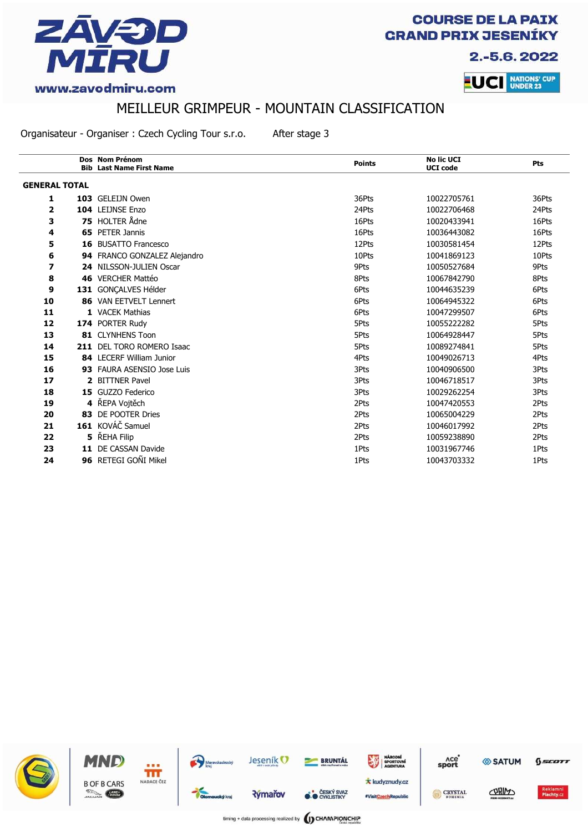

2.-5.6.2022



#### www.zavodmiru.com

### MEILLEUR GRIMPEUR - MOUNTAIN CLASSIFICATION

Organisateur - Organiser : Czech Cycling Tour s.r.o. After stage 3

|                      | Dos Nom Prénom<br><b>Bib Last Name First Name</b> | <b>Points</b> | <b>No lic UCI</b><br><b>UCI</b> code | Pts   |
|----------------------|---------------------------------------------------|---------------|--------------------------------------|-------|
| <b>GENERAL TOTAL</b> |                                                   |               |                                      |       |
| 1                    | 103 GELEIJN Owen                                  | 36Pts         | 10022705761                          | 36Pts |
| 2                    | 104 LEIJNSE Enzo                                  | 24Pts         | 10022706468                          | 24Pts |
| 3                    | 75 HOLTER Ådne                                    | 16Pts         | 10020433941                          | 16Pts |
| 4                    | 65 PETER Jannis                                   | 16Pts         | 10036443082                          | 16Pts |
| 5                    | <b>16 BUSATTO Francesco</b>                       | 12Pts         | 10030581454                          | 12Pts |
| 6                    | 94 FRANCO GONZALEZ Alejandro                      | 10Pts         | 10041869123                          | 10Pts |
| 7                    | 24 NILSSON-JULIEN Oscar                           | 9Pts          | 10050527684                          | 9Pts  |
| 8                    | 46 VERCHER Mattéo                                 | 8Pts          | 10067842790                          | 8Pts  |
| 9                    | 131 GONÇALVES Hélder                              | 6Pts          | 10044635239                          | 6Pts  |
| 10                   | 86 VAN EETVELT Lennert                            | 6Pts          | 10064945322                          | 6Pts  |
| 11                   | 1 VACEK Mathias                                   | 6Pts          | 10047299507                          | 6Pts  |
| 12                   | 174 PORTER Rudy                                   | 5Pts          | 10055222282                          | 5Pts  |
| 13                   | 81 CLYNHENS Toon                                  | 5Pts          | 10064928447                          | 5Pts  |
| 14                   | 211 DEL TORO ROMERO Isaac                         | 5Pts          | 10089274841                          | 5Pts  |
| 15                   | 84 LECERF William Junior                          | 4Pts          | 10049026713                          | 4Pts  |
| 16                   | 93 FAURA ASENSIO Jose Luis                        | 3Pts          | 10040906500                          | 3Pts  |
| 17                   | 2 BITTNER Pavel                                   | 3Pts          | 10046718517                          | 3Pts  |
| 18                   | 15 GUZZO Federico                                 | 3Pts          | 10029262254                          | 3Pts  |
| 19                   | 4 ŘEPA Vojtěch                                    | 2Pts          | 10047420553                          | 2Pts  |
| 20                   | 83 DE POOTER Dries                                | 2Pts          | 10065004229                          | 2Pts  |
| 21                   | 161 KOVÁČ Samuel                                  | 2Pts          | 10046017992                          | 2Pts  |
| 22                   | 5 ŘEHA Filip                                      | 2Pts          | 10059238890                          | 2Pts  |
| 23                   | 11 DE CASSAN Davide                               | 1Pts          | 10031967746                          | 1Pts  |
| 24                   | 96 RETEGI GOÑI Mikel                              | 1Pts          | 10043703332                          | 1Pts  |

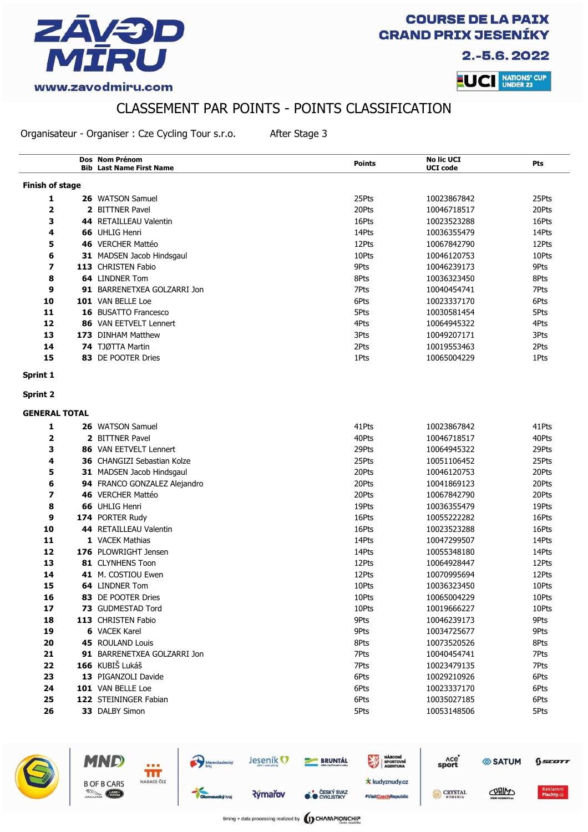

2.-5.6.2022



# CLASSEMENT PAR POINTS - POINTS CLASSIFICATION

Organisateur - Organiser : Cze Cycling Tour s.r.o. After Stage 3

|                          | Dos Nom Prénom<br><b>Bib Last Name First Name</b> | <b>Points</b> | <b>No lic UCI</b><br><b>UCI</b> code | <b>Pts</b> |
|--------------------------|---------------------------------------------------|---------------|--------------------------------------|------------|
|                          |                                                   |               |                                      |            |
| <b>Finish of stage</b>   |                                                   |               |                                      |            |
| 1                        | 26 WATSON Samuel                                  | 25Pts         | 10023867842                          | 25Pts      |
| 2                        | 2 BITTNER Pavel                                   | 20Pts         | 10046718517                          | 20Pts      |
| 3                        | 44 RETAILLEAU Valentin                            | 16Pts         | 10023523288                          | 16Pts      |
| 4                        | 66 UHLIG Henri                                    | 14Pts         | 10036355479                          | 14Pts      |
| 5                        | 46 VERCHER Mattéo                                 | 12Pts         | 10067842790                          | 12Pts      |
| 6                        | 31 MADSEN Jacob Hindsgaul                         | 10Pts         | 10046120753                          | 10Pts      |
| $\overline{\phantom{a}}$ | 113 CHRISTEN Fabio                                | 9Pts          | 10046239173                          | 9Pts       |
| 8                        | 64 LINDNER Tom                                    | 8Pts          | 10036323450                          | 8Pts       |
| 9                        | 91 BARRENETXEA GOLZARRI Jon                       | 7Pts          | 10040454741                          | 7Pts       |
| 10                       | 101 VAN BELLE Loe                                 | 6Pts          | 10023337170                          | 6Pts       |
| 11                       | 16 BUSATTO Francesco                              | 5Pts          | 10030581454                          | 5Pts       |
| 12                       | 86 VAN EETVELT Lennert                            | 4Pts          | 10064945322                          | 4Pts       |
| 13                       | 173 DINHAM Matthew                                | 3Pts          | 10049207171                          | 3Pts       |
| 14                       | 74 TJØTTA Martin                                  | 2Pts          | 10019553463                          | 2Pts       |
| 15                       | 83 DE POOTER Dries                                | 1Pts          | 10065004229                          | 1Pts       |
| <b>Sprint 1</b>          |                                                   |               |                                      |            |
| <b>Sprint 2</b>          |                                                   |               |                                      |            |
| <b>GENERAL TOTAL</b>     |                                                   |               |                                      |            |
| 1                        | 26 WATSON Samuel                                  | 41Pts         | 10023867842                          | 41Pts      |
| 2                        | 2 BITTNER Pavel                                   | 40Pts         | 10046718517                          | 40Pts      |
| 3                        | <b>86</b> VAN EETVELT Lennert                     | 29Pts         | 10064945322                          | 29Pts      |
| 4                        | 36 CHANGIZI Sebastian Kolze                       | 25Pts         | 10051106452                          | 25Pts      |
| 5                        | 31 MADSEN Jacob Hindsgaul                         | 20Pts         | 10046120753                          | 20Pts      |
| 6                        | 94 FRANCO GONZALEZ Alejandro                      | 20Pts         | 10041869123                          | 20Pts      |
| 7                        | 46 VERCHER Mattéo                                 | 20Pts         | 10067842790                          | 20Pts      |
| 8                        | 66 UHLIG Henri                                    | 19Pts         | 10036355479                          | 19Pts      |
| 9                        | 174 PORTER Rudy                                   | 16Pts         | 10055222282                          | 16Pts      |
| 10                       | 44 RETAILLEAU Valentin                            | 16Pts         | 10023523288                          | 16Pts      |
| 11                       | <b>1</b> VACEK Mathias                            | 14Pts         | 10047299507                          | 14Pts      |
| 12                       | 176 PLOWRIGHT Jensen                              | 14Pts         | 10055348180                          | 14Pts      |
| 13                       | 81 CLYNHENS Toon                                  | 12Pts         | 10064928447                          | 12Pts      |
| 14                       | 41 M. COSTIOU Ewen                                | 12Pts         | 10070995694                          | 12Pts      |
| 15                       | 64 LINDNER Tom                                    | 10Pts         | 10036323450                          | 10Pts      |
| 16                       | 83 DE POOTER Dries                                | 10Pts         | 10065004229                          | 10Pts      |
| 17                       | 73 GUDMESTAD Tord                                 | 10Pts         | 10019666227                          | 10Pts      |
| 18                       | 113 CHRISTEN Fabio                                | 9Pts          | 10046239173                          | 9Pts       |
| 19                       | <b>6</b> VACEK Karel                              | 9Pts          | 10034725677                          | 9Pts       |
| 20                       | 45 ROULAND Louis                                  | 8Pts          | 10073520526                          | 8Pts       |
| 21                       | 91 BARRENETXEA GOLZARRI Jon                       | 7Pts          | 10040454741                          | 7Pts       |
| 22                       | 166 KUBIŠ Lukáš                                   | 7Pts          | 10023479135                          | 7Pts       |
| 23                       | 13 PIGANZOLI Davide                               | 6Pts          | 10029210926                          | 6Pts       |
| 24                       | 101 VAN BELLE Loe                                 | 6Pts          | 10023337170                          | 6Pts       |
| 25                       | 122 STEININGER Fabian                             | 6Pts          | 10035027185                          | 6Pts       |
| 26                       | 33 DALBY Simon                                    | 5Pts          | 10053148506                          | 5Pts       |



**BOFB** 

| MND                                                                  |                   | Moravskoslezský<br>kral | Jeseník <sup>r</sup> | <b>BRUNTÁL</b><br>edato mest horesti e vodos | <b>NÁRODNÍ</b><br><b>SPORTOVNI</b><br>ЭV<br><b>AGENTURA</b> | лсе<br>sport   | <b><i>SATUM</i></b>             |
|----------------------------------------------------------------------|-------------------|-------------------------|----------------------|----------------------------------------------|-------------------------------------------------------------|----------------|---------------------------------|
| <b>B OF B CARS</b><br>the South of<br><b>CHOVER</b><br><b>JAGUAR</b> | <b>NADACE CEZ</b> |                         | <b>Rymařov</b>       | ČESKÝ SVAZ                                   | <b>*</b> kudyznudy.cz                                       | <b>CRYSTAL</b> | <b>PRIMO</b><br>PRIN-MODINKY.cz |
|                                                                      |                   | Olomoucký kraj          |                      | <b>CYKLISTIKY</b>                            | #VisitCzechRepublic                                         | <b>BOHEMIA</b> |                                 |

**DEATH** MÁR

 $6$ scorr

Reklamni<br>Plachty.cz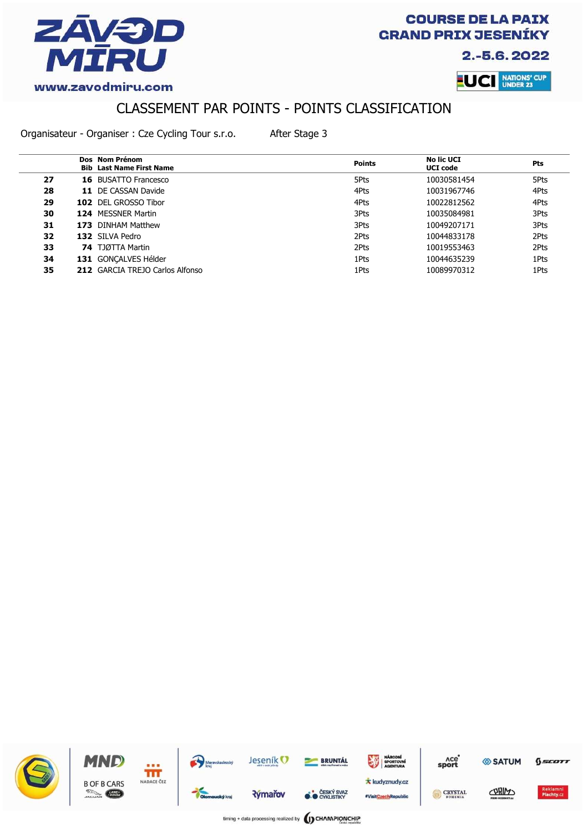

2.-5.6.2022



### CLASSEMENT PAR POINTS - POINTS CLASSIFICATION

Organisateur - Organiser : Cze Cycling Tour s.r.o. After Stage 3

|    |      | Dos Nom Prénom<br><b>Bib Last Name First Name</b> | <b>Points</b> | <b>No lic UCI</b><br><b>UCI code</b> | <b>Pts</b> |
|----|------|---------------------------------------------------|---------------|--------------------------------------|------------|
| 27 | 16   | BUSATTO Francesco                                 | 5Pts          | 10030581454                          | 5Pts       |
| 28 | 11   | DE CASSAN Davide                                  | 4Pts          | 10031967746                          | 4Pts       |
| 29 |      | 102 DEL GROSSO Tibor                              | 4Pts          | 10022812562                          | 4Pts       |
| 30 |      | 124 MESSNER Martin                                | 3Pts          | 10035084981                          | 3Pts       |
| 31 | 173. | DINHAM Matthew                                    | 3Pts          | 10049207171                          | 3Pts       |
| 32 |      | 132 SILVA Pedro                                   | 2Pts          | 10044833178                          | 2Pts       |
| 33 |      | 74 TJØTTA Martin                                  | 2Pts          | 10019553463                          | 2Pts       |
| 34 |      | 131 GONCALVES Hélder                              | 1Pts          | 10044635239                          | 1Pts       |
| 35 |      | 212 GARCIA TREJO Carlos Alfonso                   | 1Pts          | 10089970312                          | 1Pts       |
|    |      |                                                   |               |                                      |            |